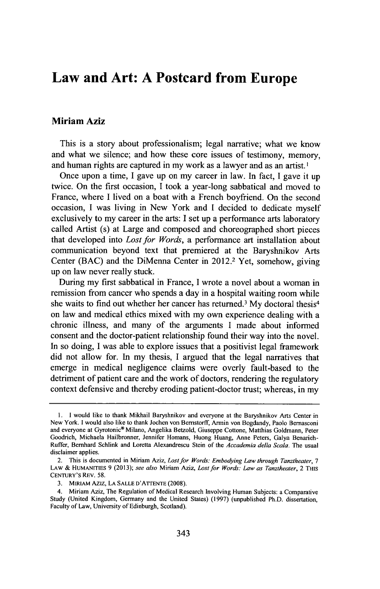## **Law and Art: A Postcard from Europe**

## **Miriam Aziz**

This is a story about professionalism; legal narrative; what we know and what we silence; and how these core issues of testimony, memory, and human rights are captured in my work as a lawyer and as an artist.'

Once upon a time, **I** gave up on my career in law. In fact, **I** gave it **up** twice. On the first occasion, **I** took a year-long sabbatical and moved to France, where **I** lived on a boat with a French boyfriend. On the second occasion, **I** was living in New York and I decided to dedicate myself exclusively to my career in the arts: **I** set up a performance arts laboratory called Artist (s) at Large and composed and choreographed short pieces that developed into *Lost for Words,* a performance art installation about communication beyond text that premiered at the Baryshnikov Arts Center **(BAC)** and the DiMenna Center in 2012.2 Yet, somehow, giving up on law never really stuck.

During my first sabbatical in France, **I** wrote a novel about a woman in remission from cancer who spends a day in a hospital waiting room while she waits to find out whether her cancer has returned.<sup>3</sup> My doctoral thesis<sup>4</sup> on law and medical ethics mixed with my own experience dealing with a chronic illness, and many of the arguments **I** made about informed consent and the doctor-patient relationship found their way into the novel. In so doing, **I** was able to explore issues that a positivist legal framework did not allow for. In my thesis, **I** argued that the legal narratives that emerge in medical negligence claims were overly fault-based to the detriment of patient care and the work of doctors, rendering the regulatory context defensive and thereby eroding patient-doctor trust; whereas, in my

**<sup>1. 1</sup>** would like to thank Mikhail Baryshnikov and everyone at the Baryshnikov Arts Center in New York. **I** would also like to thank Jochen von Bernstorff, Armin von Bogdandy, Paolo Bernasconi and everyone at Gyrotonic® Milano, Angelika Betzold, Giuseppe Cottone, Matthias Goldmann, Peter Goodrich, Michaela Hailbronner, Jennifer Homans, Huong Huang, Anne Peters, Galya Benarieh-Ruffer, Bernhard Schlink and Loretta Alexandrescu Stein of the Accademia della Scala. The usual disclaimer applies.

<sup>2.</sup> This is documented in Miriam Aziz, Lost for Words: Embodying Law through Tanztheater, *<sup>7</sup>* **LAW &** HUMANITIES **9 (2013);** *see* also Miriam Aziz, *Lost for Words: Law as Tanztheater,* 2 THIs CENTURY'S REV. **58.**

<sup>3.</sup> MIRIAM **AZIZ**, LA SALLE D'ATTENTE (2008).

<sup>4.</sup> Miriam Aziz, The Regulation of Medical Research Involving Human Subjects: a Comparative Study (United Kingdom, Germany and the United States) **(1997)** (unpublished Ph.D. dissertation, Faculty of Law, University of Edinburgh, Scotland).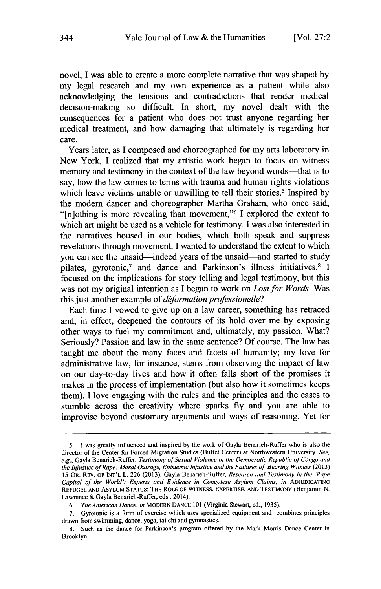novel, **I** was able to create a more complete narrative that was shaped **by** my legal research and my own experience as a patient while also acknowledging the tensions and contradictions that render medical decision-making so difficult. In short, my novel dealt with the consequences for a patient who does not trust anyone regarding her medical treatment, and how damaging that ultimately is regarding her care.

Years later, as **I** composed and choreographed for my arts laboratory in New York, **I** realized that my artistic work began to focus on witness memory and testimony in the context of the law beyond words—that is to say, how the law comes to terms with trauma and human rights violations which leave victims unable or unwilling to tell their stories.<sup>5</sup> Inspired by the modern dancer and choreographer Martha Graham, who once said, "[n]othing is more revealing than movement," <sup>6</sup>**I** explored the extent to which art might be used as a vehicle for testimony. **I** was also interested in the narratives housed in our bodies, which both speak and suppress revelations through movement. **I** wanted to understand the extent to which you can see the unsaid-indeed years of the unsaid-and started to study pilates, gyrotonic,7 and dance and Parkinson's illness initiatives.8 **<sup>I</sup>** focused on the implications for story telling and legal testimony, but this was not my original intention as **I** began to work on *Lost for Words. Was* this just another example of *deformation professionelle?*

Each time **I** vowed to give up on a law career, something has retraced and, in effect, deepened the contours of its hold over me **by** exposing other ways to fuel my commitment and, ultimately, my passion. What? Seriously? Passion and law in the same sentence? **Of** course. The law has taught me about the many faces and facets of humanity; my love for administrative law, for instance, stems from observing the impact of law on our day-to-day lives and how it often falls short of the promises it makes in the process of implementation (but also how it sometimes keeps them). **I** love engaging with the rules and the principles and the cases to stumble across the creativity where sparks **fly** and you are able to improvise beyond customary arguments and ways of reasoning. Yet for

*<sup>5.</sup>* I was greatly influenced and inspired **by** the work of Gayla Benarieh-Ruffer who is also the director of the Center for Forced Migration Studies (Buffet Center) at Northwestern University. *See, e.g.,* Gayla Benarieh-Ruffer, *Testimony of Sexual Violence in the Democratic Republic of Congo and the Injustice of Rape: Moral Outrage, Epistemic Injustice and the Failures of Bearing Witness (2013)* **15** OR. REV. **OF INT'L L. 226 (2013);** Gayla Benarieh-Ruffer, *Research and Testimony in the 'Rape* Capital of the World': Experts and Evidence in Congolese Asylum Claims, in **ADJUDICATING REFUGEE AND ASYLUM STATUS: THE ROLE OF WITNESS, EXPERTISE, AND TESTIMONY** (Benjamin **N.** Lawrence **&** Gayla Benarieh-Ruffer, eds., 2014).

*<sup>6.</sup> The American Dance, in* **MODERN DANCE 101** (Virginia Stewart, ed., *1935).*

**<sup>7.</sup>** Gyrotonic is a form of exercise which uses specialized equipment and combines principles drawn from swimming, dance, yoga, tai chi and gymnastics.

**<sup>8.</sup>** Such as the dance for Parkinson's program offered **by** the Mark Morris Dance Center in Brooklyn.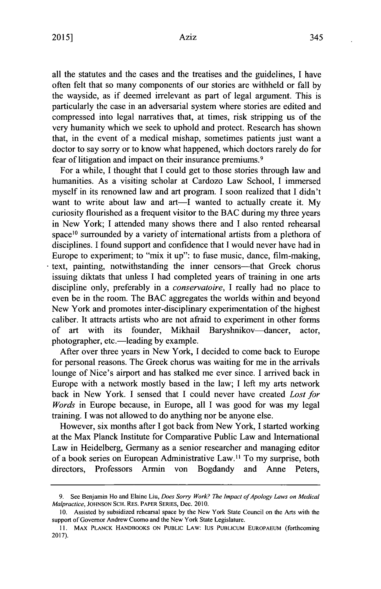all the statutes and the cases and the treatises and the guidelines, **I** have often felt that so many components of our stories are withheld or fall **by** the wayside, as if deemed irrelevant as part of legal argument. This **is** particularly the case in an adversarial system where stories are edited and compressed into legal narratives that, at times, risk stripping us of the very humanity which we seek to uphold and protect. Research has shown that, in the event of a medical mishap, sometimes patients just want a doctor to say sorry or to know what happened, which doctors rarely do for fear of litigation and impact on their insurance premiums.<sup>9</sup>

For a while, **I** thought that **I** could get to those stories through law and humanities. As a visiting scholar at Cardozo Law School, **I** immersed myself in its renowned law and art program. **I** soon realized that **I** didn't want to write about law and art—I wanted to actually create it. My curiosity flourished as a frequent visitor to the **BAC** during my three years in New York; **I** attended many shows there and **I** also rented rehearsal space<sup>10</sup> surrounded by a variety of international artists from a plethora of disciplines. **I** found support and confidence that **I** would never have had in Europe to experiment; to "mix it up": to fuse music, dance, film-making, text, painting, notwithstanding the inner censors—that Greek chorus issuing diktats that unless **I** had completed years of training in one arts discipline only, preferably in a *conservatoire, I* really had no place to even be in the room. The **BAC** aggregates the worlds within and beyond New York and promotes inter-disciplinary experimentation of the highest caliber. It attracts artists who are not afraid to experiment in other forms of art with its founder, Mikhail Baryshnikov-dancer, actor, photographer, etc.-leading **by** example.

After over three years in New York, **I** decided to come back to Europe for personal reasons. The Greek chorus was waiting for me in the arrivals lounge of Nice's airport and has stalked me ever since. **I** arrived back in Europe with a network mostly based in the law; **I** left my arts network back in New York. **I** sensed that **I** could never have created *Lost for Words* in Europe because, in Europe, all **I** was good for was my legal training. **I** was not allowed to do anything nor be anyone else.

However, six months after **I** got back from New York, **I** started working at the Max Planck Institute for Comparative Public Law and International Law in Heidelberg, Germany as a senior researcher and managing editor of a book series on European Administrative Law.<sup>11</sup> To my surprise, both directors, Professors Armin von Bogdandy and Anne Peters,

**<sup>9.</sup>** See Benjamin Ho and Elaine Liu, *Does Sorry Work? The Impact of Apology Laws on Medical* Malpractice, **JOHNSON SCH. RES. PAPER SERIES,** Dec. **2010.**

**<sup>10.</sup>** Assisted **by** subsidized rehearsal space **by** the New York State Council on the Arts with the support of Governor Andrew Cuomo and the New York State Legislature.

**<sup>11.</sup>** MAX **PLANCK HANDBOOKS ON PUBLIC** LAW: **IUS PUBLICUM EUROPAEUM** (forthcoming **2017).**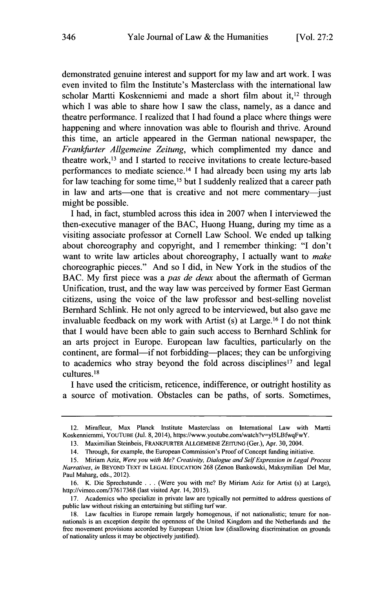demonstrated genuine interest and support for my law and art work. **I** was even invited to film the Institute's Masterclass with the international law scholar Martti Koskenniemi and made a short film about **it,12** through which **I** was able to share how **I** saw the class, namely, as a dance and theatre performance. **I** realized that **I** had found a place where things were happening and where innovation was able to flourish and thrive. Around this time, an article appeared in the German national newspaper, the *Frankfurter Allgemeine Zeitung,* which complimented my dance and theatre work,<sup>13</sup> and I started to receive invitations to create lecture-based performances to mediate science. <sup>14</sup>**I** had already been using my arts lab for law teaching for some time,15 but **I** suddenly realized that a career path in law and arts—one that is creative and not mere commentary—just might be possible.

**I** had, in fact, stumbled across this idea in **2007** when **I** interviewed the then-executive manager of the **BAC,** Huong Huang, during my time as a visiting associate professor at Cornell Law School. We ended up talking about choreography and copyright, and **I** remember thinking: **"I** don't want to write law articles about choreography, **I** actually want to *make* choreographic pieces." And so **I** did, in New York in the studios of the **BAC. My** first piece was a *pas de deux* about the aftermath of German Unification, trust, and the way law was perceived **by** former East German citizens, using the voice of the law professor and best-selling novelist Bernhard Schlink. He not only agreed to be interviewed, but also gave me invaluable feedback on my work with Artist (s) at Large. <sup>16</sup>**I** do not think that **I** would have been able to gain such access to Bernhard Schlink for an arts project in Europe. European law faculties, particularly on the continent, are formal—if not forbidding—places; they can be unforgiving to academics who stray beyond the fold across disciplines<sup>17</sup> and legal cultures.<sup>18</sup>

I have used the criticism, reticence, indifference, or outright hostility as a source of motivation. Obstacles can be paths, of sorts. Sometimes,

<sup>12.</sup> Mirafleur, Max Planck Institute Masterclass on International Law with Martti Koskenniemmi, YOUTUBE (Jul. 8, 2014), https://www.youtube.com/watch?v=yl5LBfwqFwY.

**<sup>13.</sup>** Maximilian Steinbeis, FRANKFURTER **ALLGEMEINE ZEITUNG** (Ger.), Apr. 30, 2004.

<sup>14.</sup> Through, for example, the European Commission's Proof of Concept finding initiative.

**<sup>15.</sup>** Miriam Aziz, *Were you with Me? Creativity, Dialogue and Self Expression in Legal Process Narratives, in* BEYOND TEXT **IN LEGAL EDUCATION 268** (Zenon Bankowski, Maksymilian Del Mar, Paul Maharg, eds., 2012).

**<sup>16.</sup>** K. Die Sprechstunde **.** . **.** (Were you with me? **By** Miriam Aziz for Artist (s) at Large), http://vimeo.com/37617368 (last visited Apr. 14, **2015).**

**<sup>17.</sup>** Academics who specialize in private law are typically not permitted to address questions of public law without risking an entertaining but stifling turf war.

**<sup>18.</sup>** Law faculties in Europe remain largely homogenous, if not nationalistic; tenure for nonnationals is an exception despite the openness of the United Kingdom and the Netherlands and the free movement provisions accorded **by** European Union law (disallowing discrimination on grounds of nationality unless it may be objectively justified).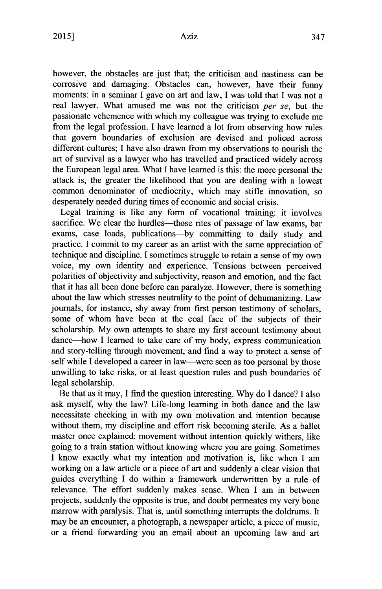however, the obstacles are just that; the criticism and nastiness can be corrosive and damaging. Obstacles can, however, have their funny moments: in a seminar **I** gave on art and law, **I** was told that **I** was not a real lawyer. What amused me was not the criticism *per se,* but the passionate vehemence with which my colleague was trying to exclude me from the legal profession. **I** have learned a lot from observing how rules that govern boundaries of exclusion are devised and policed across different cultures; **I** have also drawn from my observations to nourish the art of survival as a lawyer who has travelled and practiced widely across the European legal area. What **I** have learned is this: the more personal the attack is, the greater the likelihood that you are dealing with a lowest common denominator of mediocrity, which may stifle innovation, so desperately needed during times of economic and social crisis.

Legal training is like any form of vocational training: it involves sacrifice. We clear the hurdles—those rites of passage of law exams, bar exams, case loads, publications-by committing to daily study and practice. **I** commit to my career as an artist with the same appreciation of technique and discipline. **I** sometimes struggle to retain a sense of my own voice, my own identity and experience. Tensions between perceived polarities of objectivity and subjectivity, reason and emotion, and the fact that it has all been done before can paralyze. However, there is something about the law which stresses neutrality to the point of dehumanizing. Law journals, for instance, shy away from first person testimony of scholars, some of whom have been at the coal face of the subjects of their scholarship. **My** own attempts to share my first account testimony about dance-how **I** learned to take care of my body, express communication and story-telling through movement, and find a way to protect a sense of self while **I** developed a career in law-were seen as too personal **by** those unwilling to take risks, or at least question rules and push boundaries of legal scholarship.

Be that as it may, **I** find the question interesting. **Why** do **I** dance? **I** also ask myself, why the law? Life-long learning in both dance and the law necessitate checking in with my own motivation and intention because without them, my discipline and effort risk becoming sterile. As a ballet master once explained: movement without intention quickly withers, like going to a train station without knowing where you are going. Sometimes **I** know exactly what my intention and motivation is, like when **I** am working on a law article or a piece of art and suddenly a clear vision that guides everything **I** do within a framework underwritten **by** a rule of relevance. The effort suddenly makes sense. When **I** am in between projects, suddenly the opposite is true, and doubt permeates my very bone marrow with paralysis. That is, until something interrupts the doldrums. It may be an encounter, a photograph, a newspaper article, a piece of music, or a friend forwarding you an email about an upcoming law and art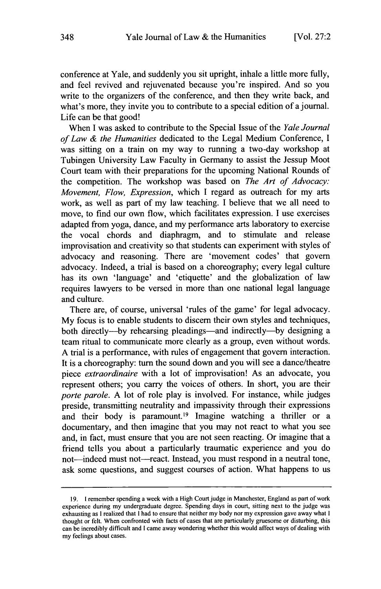conference at Yale, and suddenly you sit upright, inhale a little more fully, and feel revived and rejuvenated because you're inspired. And so you write to the organizers of the conference, and then they write back, and what's more, they invite you to contribute to a special edition of a journal. Life can be that good!

When **I** was asked to contribute to the Special Issue of the *Yale Journal of Law & the Humanities* dedicated to the Legal Medium Conference, **<sup>I</sup>** was sitting on a train on my way to running a two-day workshop at Tubingen University Law Faculty in Germany to assist the Jessup Moot Court team with their preparations for the upcoming National Rounds of the competition. The workshop was based on *The Art of Advocacy: Movement, Flow, Expression, which* **I** regard as outreach for my arts work, as well as part of my law teaching. **I** believe that we all need to move, to find our own flow, which facilitates expression. **I** use exercises adapted from yoga, dance, and my performance arts laboratory to exercise the vocal chords and diaphragm, and to stimulate and release improvisation and creativity so that students can experiment with styles of advocacy and reasoning. There are 'movement codes' that govern advocacy. Indeed, a trial is based on a choreography; every legal culture has its own 'language' and 'etiquette' and the globalization of law requires lawyers to be versed in more than one national legal language and culture.

There are, of course, universal 'rules of the game' for legal advocacy. **My** focus is to enable students to discern their own styles and techniques, both directly---by rehearsing pleadings---and indirectly---by designing a team ritual to communicate more clearly as a group, even without words. **A** trial is a performance, with rules of engagement that govern interaction. It is a choreography: turn the sound down and you will see a dance/theatre *piece extraordinaire* with a lot of improvisation! As an advocate, you represent others; you carry the voices of others. In short, you are their *porte parole.* **A** lot of role play is involved. For instance, while judges preside, transmitting neutrality and impassivity through their expressions and their body is paramount.<sup>19</sup> Imagine watching a thriller or a documentary, and then imagine that you may not react to what you see and, in fact, must ensure that you are not seen reacting. Or imagine that a friend tells you about a particularly traumatic experience and you do not-indeed must not-react. Instead, you must respond in a neutral tone, ask some questions, and suggest courses of action. What happens to us

**<sup>19.</sup>** I remember spending a week with a High Court **judge** in Manchester, England as part of work experience during my undergraduate degree. Spending days in court, sitting next to the judge was exhausting as **I** realized that **I** had to ensure that neither my body nor my expression gave away what **<sup>I</sup>** thought or felt. When confronted with facts of cases that are particularly gruesome or disturbing, this can be incredibly difficult and **I** came away wondering whether this would affect ways of dealing with my feelings about cases.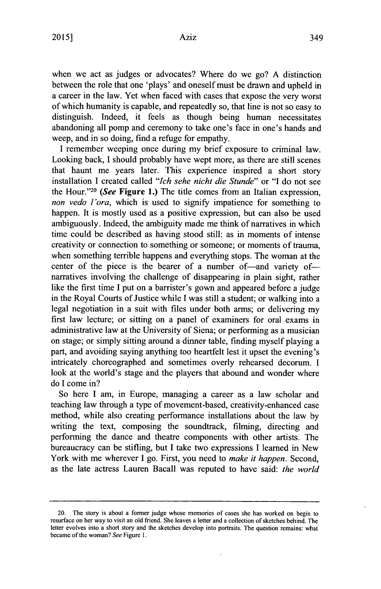when we act as judges or advocates? Where do we go? **A** distinction between the role that one 'plays' and oneself must **be** drawn and upheld in a career in the law. Yet when faced with cases that expose the very worst of which humanity is capable, and repeatedly so, that line is not so easy to distinguish. Indeed, it feels as though being human necessitates abandoning all pomp and ceremony to take one's face in one's hands and weep, and in so doing, find a refuge for empathy.

**I** remember weeping once during my brief exposure to criminal law. Looking back, **I** should probably have wept more, as there are still scenes that haunt me years later. This experience inspired a short story installation **I** created called *"Ich sehe nicht die Stunde" or* **"I** do not see the **Hour."20** *(See* **Figure 1.)** The title comes from an Italian expression, *non vedo l'ora,* which is used to signify impatience for something to happen. It is mostly used as a positive expression, but can also be used ambiguously. Indeed, the ambiguity made me think of narratives in which time could **be** described as having stood still: as in moments of intense creativity or connection to something or someone; or moments of trauma, when something terrible happens and everything stops. The woman at the center of the piece is the bearer of a number of-and variety ofnarratives involving the challenge of disappearing in plain sight, rather like the first time **I** put on a barrister's gown and appeared before a judge in the Royal Courts of Justice while **I** was still a student; or walking into a legal negotiation in a suit with files under both arms; or delivering my first law lecture; or sitting on a panel of examiners for oral exams in administrative law at the University of Siena; or performing as a musician on stage; or simply sitting around a dinner table, finding myself playing a part, and avoiding saying anything too heartfelt lest it upset the evening's intricately choreographed and sometimes overly rehearsed decorum. **I** look at the world's stage and the players that abound and wonder where do **I** come in?

So here **I** am, in Europe, managing a career as a law scholar and teaching law through a type of movement-based, creativity-enhanced case method, while also creating performance installations about the law **by** writing the text, composing the soundtrack, filming, directing and performing the dance and theatre components with other artists. The bureaucracy can be stifling, but **I** take two expressions **I** learned in New York with me wherever I go. First, you need to *make it happen*. Second, as the late actress Lauren Bacall was reputed to have said: *the world*

<sup>20.</sup> The story is about a former judge whose memories of cases she has worked on begin to resurface on her way to visit an old friend. She leaves a letter and a collection of sketches behind. The letter evolves into a short story and the sketches develop into portraits. The question remains: what became of the woman? See Figure **1.**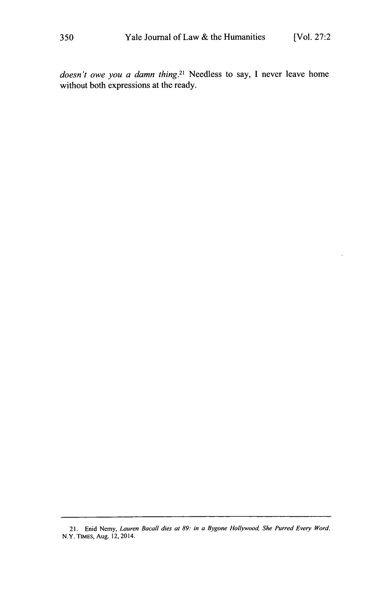*doesn't owe you a damn thing.<sup>2</sup> 1* Needless to say, **I** never leave home without both expressions at the ready.

<sup>21.</sup> Enid Nemy, *Lauren Bacall dies at 89: in a Bygone Hollywood, She Purred Every Word.* N.Y. **TIMES,** Aug. 12, 2014.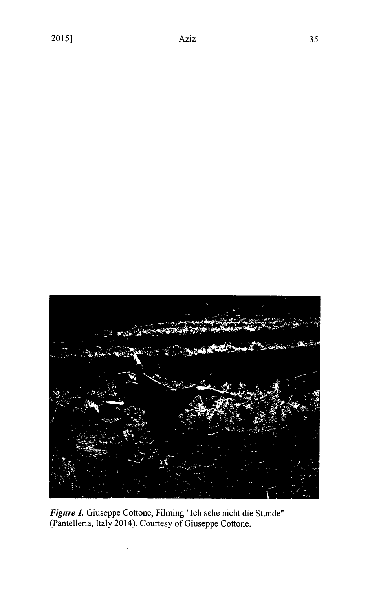

*Figure 1.* Giuseppe Cottone, Filming "Ich sehe nicht die Stunde" (Pantelleria, Italy 2014). Courtesy of Giuseppe Cottone.